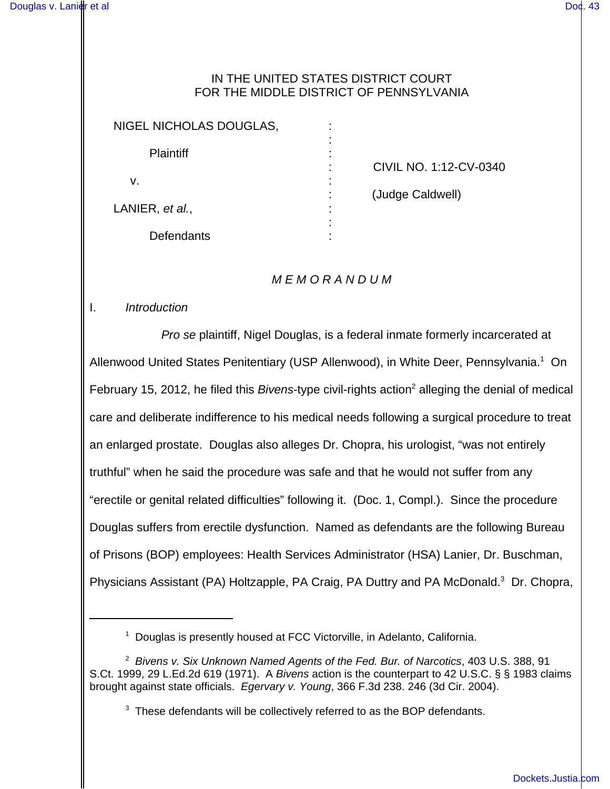### IN THE UNITED STATES DISTRICT COURT FOR THE MIDDLE DISTRICT OF PENNSYLVANIA

| NIGEL NICHOLAS DOUGLAS, |  |
|-------------------------|--|
| <b>Plaintiff</b>        |  |
| v.                      |  |
| LANIER, et al.,         |  |
| Defendants              |  |

: CIVIL NO. 1:12-CV-0340

: (Judge Caldwell)

## M E M O R A N D U M

### I. Introduction

Pro se plaintiff, Nigel Douglas, is a federal inmate formerly incarcerated at Allenwood United States Penitentiary (USP Allenwood), in White Deer, Pennsylvania.<sup>1</sup> On February 15, 2012, he filed this Bivens-type civil-rights action<sup>2</sup> alleging the denial of medical care and deliberate indifference to his medical needs following a surgical procedure to treat an enlarged prostate. Douglas also alleges Dr. Chopra, his urologist, "was not entirely truthful" when he said the procedure was safe and that he would not suffer from any "erectile or genital related difficulties" following it. (Doc. 1, Compl.). Since the procedure Douglas suffers from erectile dysfunction. Named as defendants are the following Bureau of Prisons (BOP) employees: Health Services Administrator (HSA) Lanier, Dr. Buschman, Physicians Assistant (PA) Holtzapple, PA Craig, PA Duttry and PA McDonald.<sup>3</sup> Dr. Chopra,

<sup>&</sup>lt;sup>1</sup> Douglas is presently housed at FCC Victorville, in Adelanto, California.

 $^2$  Bivens v. Six Unknown Named Agents of the Fed. Bur. of Narcotics, 403 U.S. 388, 91 S.Ct. 1999, 29 L.Ed.2d 619 (1971). A Bivens action is the counterpart to 42 U.S.C. § § 1983 claims brought against state officials. Egervary v. Young, 366 F.3d 238. 246 (3d Cir. 2004).

 $3$  These defendants will be collectively referred to as the BOP defendants.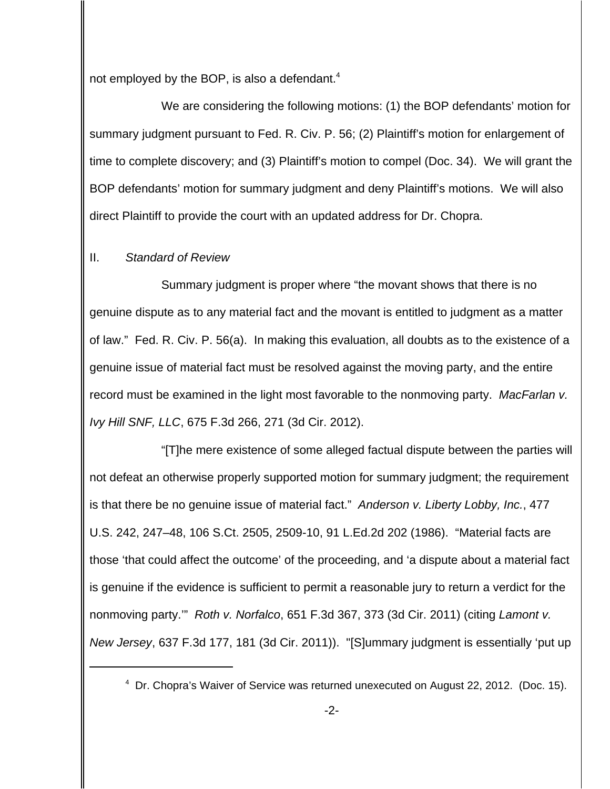not employed by the BOP, is also a defendant.<sup>4</sup>

We are considering the following motions: (1) the BOP defendants' motion for summary judgment pursuant to Fed. R. Civ. P. 56; (2) Plaintiff's motion for enlargement of time to complete discovery; and (3) Plaintiff's motion to compel (Doc. 34). We will grant the BOP defendants' motion for summary judgment and deny Plaintiff's motions. We will also direct Plaintiff to provide the court with an updated address for Dr. Chopra.

## II. Standard of Review

Summary judgment is proper where "the movant shows that there is no genuine dispute as to any material fact and the movant is entitled to judgment as a matter of law." Fed. R. Civ. P. 56(a). In making this evaluation, all doubts as to the existence of a genuine issue of material fact must be resolved against the moving party, and the entire record must be examined in the light most favorable to the nonmoving party. MacFarlan v. Ivy Hill SNF, LLC, 675 F.3d 266, 271 (3d Cir. 2012).

"[T]he mere existence of some alleged factual dispute between the parties will not defeat an otherwise properly supported motion for summary judgment; the requirement is that there be no genuine issue of material fact." Anderson v. Liberty Lobby, Inc., 477 U.S. 242, 247–48, 106 S.Ct. 2505, 2509-10, 91 L.Ed.2d 202 (1986). "Material facts are those 'that could affect the outcome' of the proceeding, and 'a dispute about a material fact is genuine if the evidence is sufficient to permit a reasonable jury to return a verdict for the nonmoving party." Roth v. Norfalco, 651 F.3d 367, 373 (3d Cir. 2011) (citing Lamont v. New Jersey, 637 F.3d 177, 181 (3d Cir. 2011)). "[S]ummary judgment is essentially 'put up

<sup>&</sup>lt;sup>4</sup> Dr. Chopra's Waiver of Service was returned unexecuted on August 22, 2012. (Doc. 15).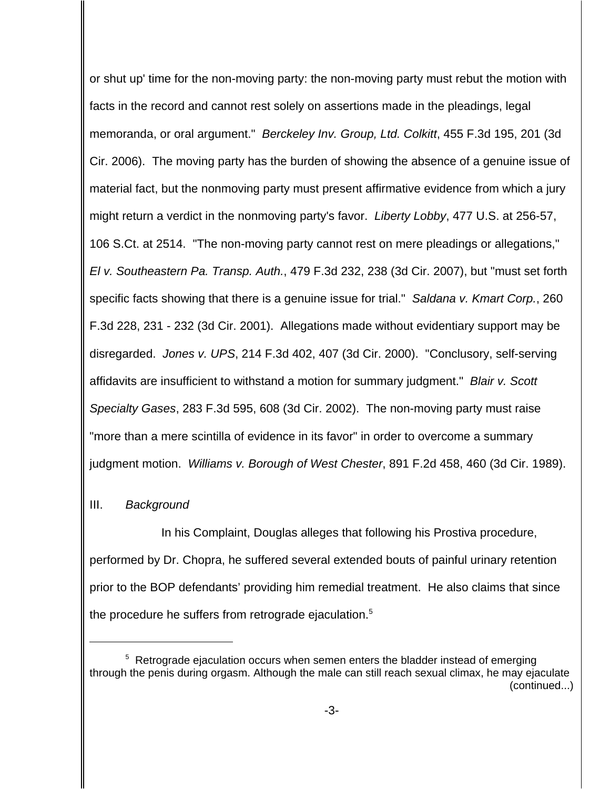or shut up' time for the non-moving party: the non-moving party must rebut the motion with facts in the record and cannot rest solely on assertions made in the pleadings, legal memoranda, or oral argument." Berckeley Inv. Group, Ltd. Colkitt, 455 F.3d 195, 201 (3d Cir. 2006). The moving party has the burden of showing the absence of a genuine issue of material fact, but the nonmoving party must present affirmative evidence from which a jury might return a verdict in the nonmoving party's favor. Liberty Lobby, 477 U.S. at 256-57, 106 S.Ct. at 2514. "The non-moving party cannot rest on mere pleadings or allegations," El v. Southeastern Pa. Transp. Auth., 479 F.3d 232, 238 (3d Cir. 2007), but "must set forth specific facts showing that there is a genuine issue for trial." Saldana v. Kmart Corp., 260 F.3d 228, 231 - 232 (3d Cir. 2001). Allegations made without evidentiary support may be disregarded. Jones v. UPS, 214 F.3d 402, 407 (3d Cir. 2000). "Conclusory, self-serving affidavits are insufficient to withstand a motion for summary judgment." Blair v. Scott Specialty Gases, 283 F.3d 595, 608 (3d Cir. 2002). The non-moving party must raise "more than a mere scintilla of evidence in its favor" in order to overcome a summary judgment motion. Williams v. Borough of West Chester, 891 F.2d 458, 460 (3d Cir. 1989).

# III. Background

In his Complaint, Douglas alleges that following his Prostiva procedure, performed by Dr. Chopra, he suffered several extended bouts of painful urinary retention prior to the BOP defendants' providing him remedial treatment. He also claims that since the procedure he suffers from retrograde ejaculation.<sup>5</sup>

<sup>&</sup>lt;sup>5</sup> Retrograde ejaculation occurs when semen enters the bladder instead of emerging through the penis during orgasm. Although the male can still reach sexual climax, he may ejaculate (continued...)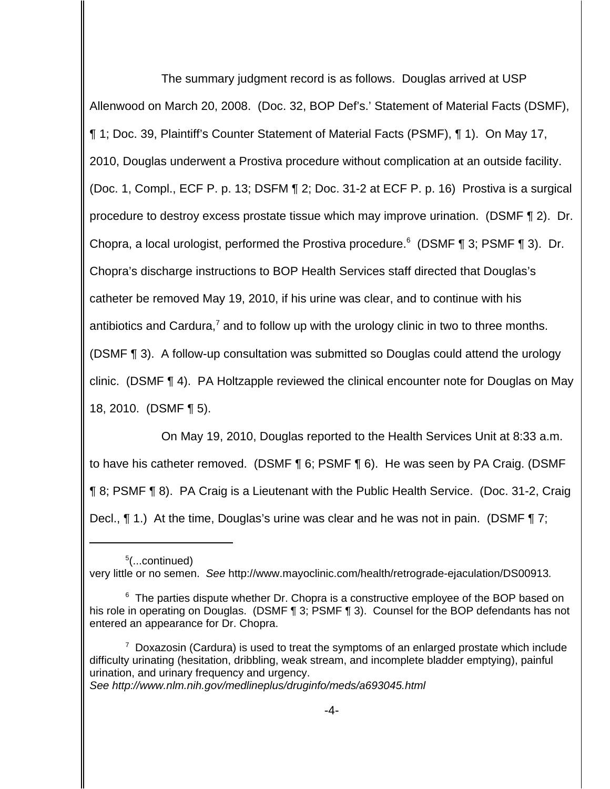The summary judgment record is as follows. Douglas arrived at USP Allenwood on March 20, 2008. (Doc. 32, BOP Def's.' Statement of Material Facts (DSMF), ¶ 1; Doc. 39, Plaintiff's Counter Statement of Material Facts (PSMF), ¶ 1). On May 17, 2010, Douglas underwent a Prostiva procedure without complication at an outside facility. (Doc. 1, Compl., ECF P. p. 13; DSFM ¶ 2; Doc. 31-2 at ECF P. p. 16) Prostiva is a surgical procedure to destroy excess prostate tissue which may improve urination. (DSMF ¶ 2). Dr. Chopra, a local urologist, performed the Prostiva procedure.<sup>6</sup> (DSMF  $\P$  3; PSMF  $\P$  3). Dr. Chopra's discharge instructions to BOP Health Services staff directed that Douglas's catheter be removed May 19, 2010, if his urine was clear, and to continue with his antibiotics and Cardura,<sup>7</sup> and to follow up with the urology clinic in two to three months. (DSMF ¶ 3). A follow-up consultation was submitted so Douglas could attend the urology clinic. (DSMF ¶ 4). PA Holtzapple reviewed the clinical encounter note for Douglas on May 18, 2010. (DSMF ¶ 5).

On May 19, 2010, Douglas reported to the Health Services Unit at 8:33 a.m. to have his catheter removed. (DSMF ¶ 6; PSMF ¶ 6). He was seen by PA Craig. (DSMF ¶ 8; PSMF ¶ 8). PA Craig is a Lieutenant with the Public Health Service. (Doc. 31-2, Craig Decl.,  $\P$  1.) At the time, Douglas's urine was clear and he was not in pain. (DSMF  $\P$  7;

See http://www.nlm.nih.gov/medlineplus/druginfo/meds/a693045.html

<sup>5</sup> (...continued) very little or no semen. See http://www.mayoclinic.com/health/retrograde-ejaculation/DS00913.

<sup>&</sup>lt;sup>6</sup> The parties dispute whether Dr. Chopra is a constructive employee of the BOP based on his role in operating on Douglas. (DSMF ¶ 3; PSMF ¶ 3). Counsel for the BOP defendants has not entered an appearance for Dr. Chopra.

 $7$  Doxazosin (Cardura) is used to treat the symptoms of an enlarged prostate which include difficulty urinating (hesitation, dribbling, weak stream, and incomplete bladder emptying), painful urination, and urinary frequency and urgency.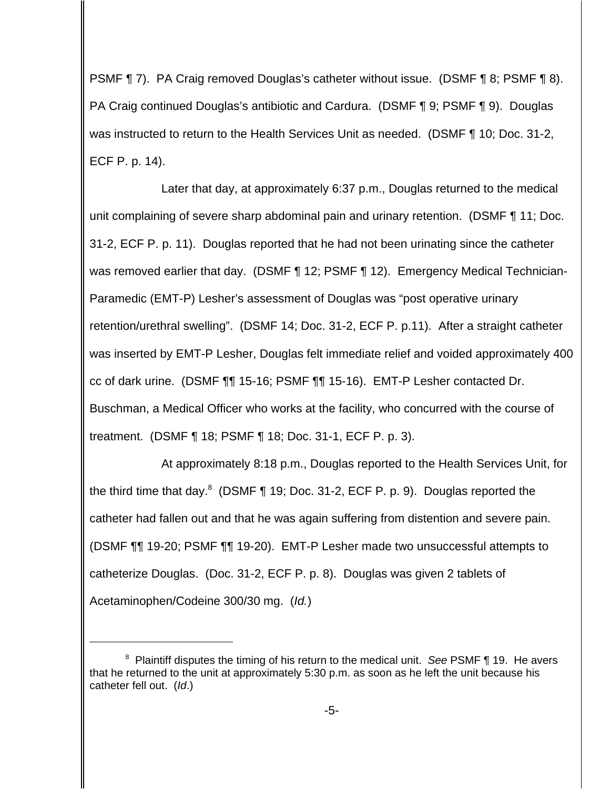PSMF ¶ 7). PA Craig removed Douglas's catheter without issue. (DSMF ¶ 8; PSMF ¶ 8). PA Craig continued Douglas's antibiotic and Cardura. (DSMF ¶ 9; PSMF ¶ 9). Douglas was instructed to return to the Health Services Unit as needed. (DSMF ¶ 10; Doc. 31-2, ECF P. p. 14).

Later that day, at approximately 6:37 p.m., Douglas returned to the medical unit complaining of severe sharp abdominal pain and urinary retention. (DSMF ¶ 11; Doc. 31-2, ECF P. p. 11). Douglas reported that he had not been urinating since the catheter was removed earlier that day. (DSMF ¶ 12; PSMF ¶ 12). Emergency Medical Technician-Paramedic (EMT-P) Lesher's assessment of Douglas was "post operative urinary retention/urethral swelling". (DSMF 14; Doc. 31-2, ECF P. p.11). After a straight catheter was inserted by EMT-P Lesher, Douglas felt immediate relief and voided approximately 400 cc of dark urine. (DSMF ¶¶ 15-16; PSMF ¶¶ 15-16). EMT-P Lesher contacted Dr. Buschman, a Medical Officer who works at the facility, who concurred with the course of treatment. (DSMF ¶ 18; PSMF ¶ 18; Doc. 31-1, ECF P. p. 3).

At approximately 8:18 p.m., Douglas reported to the Health Services Unit, for the third time that day. $^8$  (DSMF ¶ 19; Doc. 31-2, ECF P. p. 9). Douglas reported the catheter had fallen out and that he was again suffering from distention and severe pain. (DSMF ¶¶ 19-20; PSMF ¶¶ 19-20). EMT-P Lesher made two unsuccessful attempts to catheterize Douglas. (Doc. 31-2, ECF P. p. 8). Douglas was given 2 tablets of Acetaminophen/Codeine 300/30 mg. (Id.)

 $8$  Plaintiff disputes the timing of his return to the medical unit. See PSMF  $\P$  19. He avers that he returned to the unit at approximately 5:30 p.m. as soon as he left the unit because his catheter fell out. (Id.)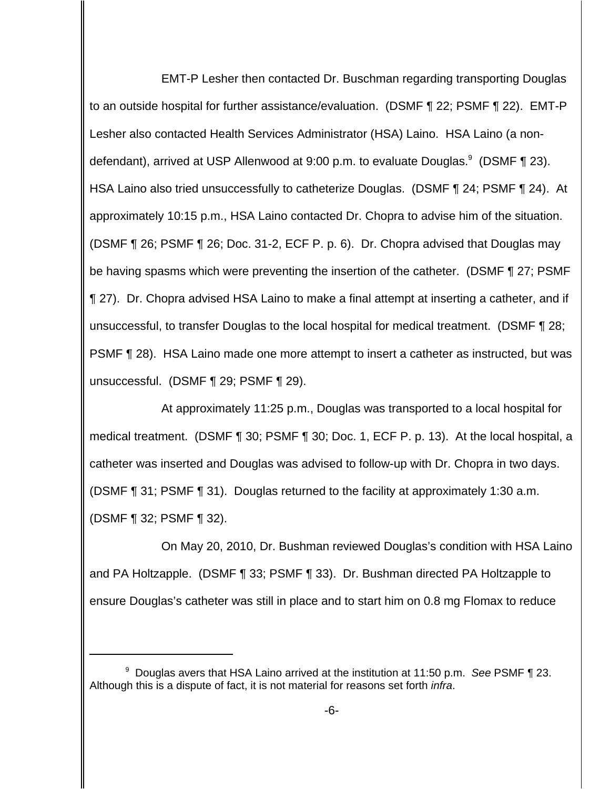EMT-P Lesher then contacted Dr. Buschman regarding transporting Douglas to an outside hospital for further assistance/evaluation. (DSMF ¶ 22; PSMF ¶ 22). EMT-P Lesher also contacted Health Services Administrator (HSA) Laino. HSA Laino (a nondefendant), arrived at USP Allenwood at 9:00 p.m. to evaluate Douglas. $9$  (DSMF ¶ 23). HSA Laino also tried unsuccessfully to catheterize Douglas. (DSMF ¶ 24; PSMF ¶ 24). At approximately 10:15 p.m., HSA Laino contacted Dr. Chopra to advise him of the situation. (DSMF ¶ 26; PSMF ¶ 26; Doc. 31-2, ECF P. p. 6). Dr. Chopra advised that Douglas may be having spasms which were preventing the insertion of the catheter. (DSMF ¶ 27; PSMF ¶ 27). Dr. Chopra advised HSA Laino to make a final attempt at inserting a catheter, and if unsuccessful, to transfer Douglas to the local hospital for medical treatment. (DSMF ¶ 28; PSMF ¶ 28). HSA Laino made one more attempt to insert a catheter as instructed, but was unsuccessful. (DSMF ¶ 29; PSMF ¶ 29).

At approximately 11:25 p.m., Douglas was transported to a local hospital for medical treatment. (DSMF ¶ 30; PSMF ¶ 30; Doc. 1, ECF P. p. 13). At the local hospital, a catheter was inserted and Douglas was advised to follow-up with Dr. Chopra in two days. (DSMF ¶ 31; PSMF ¶ 31). Douglas returned to the facility at approximately 1:30 a.m. (DSMF ¶ 32; PSMF ¶ 32).

On May 20, 2010, Dr. Bushman reviewed Douglas's condition with HSA Laino and PA Holtzapple. (DSMF ¶ 33; PSMF ¶ 33). Dr. Bushman directed PA Holtzapple to ensure Douglas's catheter was still in place and to start him on 0.8 mg Flomax to reduce

<sup>&</sup>lt;sup>9</sup> Douglas avers that HSA Laino arrived at the institution at 11:50 p.m. See PSMF ¶ 23. Although this is a dispute of fact, it is not material for reasons set forth *infra*.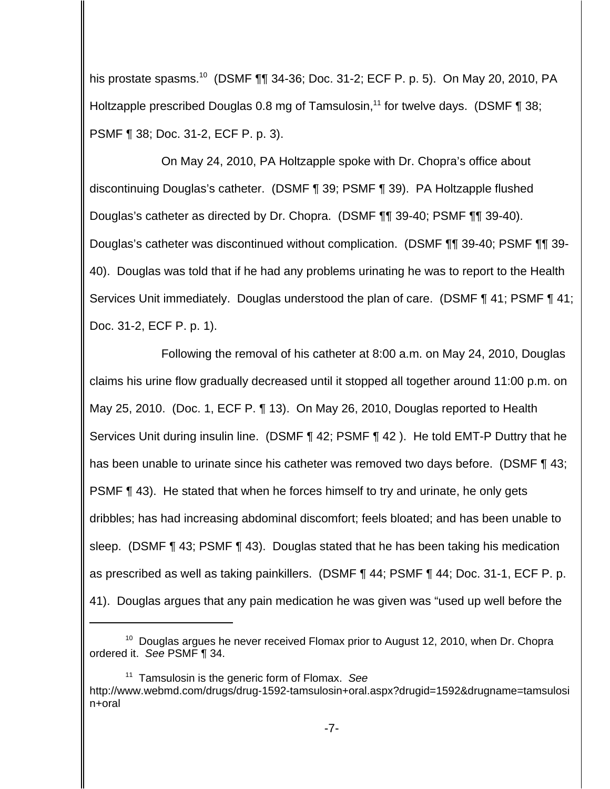his prostate spasms.<sup>10</sup> (DSMF ¶¶ 34-36; Doc. 31-2; ECF P. p. 5). On May 20, 2010, PA Holtzapple prescribed Douglas 0.8 mg of Tamsulosin,<sup>11</sup> for twelve days. (DSMF  $\P$  38; PSMF ¶ 38; Doc. 31-2, ECF P. p. 3).

On May 24, 2010, PA Holtzapple spoke with Dr. Chopra's office about discontinuing Douglas's catheter. (DSMF ¶ 39; PSMF ¶ 39). PA Holtzapple flushed Douglas's catheter as directed by Dr. Chopra. (DSMF ¶¶ 39-40; PSMF ¶¶ 39-40). Douglas's catheter was discontinued without complication. (DSMF ¶¶ 39-40; PSMF ¶¶ 39- 40). Douglas was told that if he had any problems urinating he was to report to the Health Services Unit immediately. Douglas understood the plan of care. (DSMF ¶ 41; PSMF ¶ 41; Doc. 31-2, ECF P. p. 1).

 Following the removal of his catheter at 8:00 a.m. on May 24, 2010, Douglas claims his urine flow gradually decreased until it stopped all together around 11:00 p.m. on May 25, 2010. (Doc. 1, ECF P. ¶ 13). On May 26, 2010, Douglas reported to Health Services Unit during insulin line. (DSMF ¶ 42; PSMF ¶ 42 ). He told EMT-P Duttry that he has been unable to urinate since his catheter was removed two days before. (DSMF ¶ 43; PSMF ¶ 43). He stated that when he forces himself to try and urinate, he only gets dribbles; has had increasing abdominal discomfort; feels bloated; and has been unable to sleep. (DSMF ¶ 43; PSMF ¶ 43). Douglas stated that he has been taking his medication as prescribed as well as taking painkillers. (DSMF ¶ 44; PSMF ¶ 44; Doc. 31-1, ECF P. p. 41). Douglas argues that any pain medication he was given was "used up well before the

 $11$  Tamsulosin is the generic form of Flomax. See http://www.webmd.com/drugs/drug-1592-tamsulosin+oral.aspx?drugid=1592&drugname=tamsulosi n+oral

 $10$  Douglas argues he never received Flomax prior to August 12, 2010, when Dr. Chopra ordered it. See PSMF ¶ 34.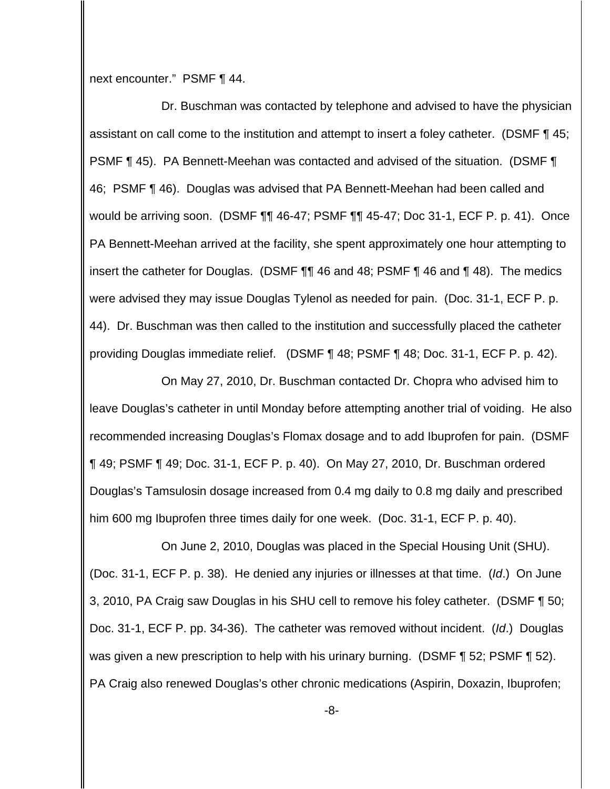next encounter." PSMF ¶ 44.

Dr. Buschman was contacted by telephone and advised to have the physician assistant on call come to the institution and attempt to insert a foley catheter. (DSMF ¶ 45; PSMF ¶ 45). PA Bennett-Meehan was contacted and advised of the situation. (DSMF ¶ 46; PSMF ¶ 46). Douglas was advised that PA Bennett-Meehan had been called and would be arriving soon. (DSMF ¶¶ 46-47; PSMF ¶¶ 45-47; Doc 31-1, ECF P. p. 41). Once PA Bennett-Meehan arrived at the facility, she spent approximately one hour attempting to insert the catheter for Douglas. (DSMF ¶¶ 46 and 48; PSMF ¶ 46 and ¶ 48). The medics were advised they may issue Douglas Tylenol as needed for pain. (Doc. 31-1, ECF P. p. 44). Dr. Buschman was then called to the institution and successfully placed the catheter providing Douglas immediate relief. (DSMF ¶ 48; PSMF ¶ 48; Doc. 31-1, ECF P. p. 42).

On May 27, 2010, Dr. Buschman contacted Dr. Chopra who advised him to leave Douglas's catheter in until Monday before attempting another trial of voiding. He also recommended increasing Douglas's Flomax dosage and to add Ibuprofen for pain. (DSMF ¶ 49; PSMF ¶ 49; Doc. 31-1, ECF P. p. 40). On May 27, 2010, Dr. Buschman ordered Douglas's Tamsulosin dosage increased from 0.4 mg daily to 0.8 mg daily and prescribed him 600 mg Ibuprofen three times daily for one week. (Doc. 31-1, ECF P. p. 40).

On June 2, 2010, Douglas was placed in the Special Housing Unit (SHU). (Doc. 31-1, ECF P. p. 38). He denied any injuries or illnesses at that time. (Id.) On June 3, 2010, PA Craig saw Douglas in his SHU cell to remove his foley catheter. (DSMF ¶ 50; Doc. 31-1, ECF P. pp. 34-36). The catheter was removed without incident. (Id.) Douglas was given a new prescription to help with his urinary burning. (DSMF ¶ 52; PSMF ¶ 52). PA Craig also renewed Douglas's other chronic medications (Aspirin, Doxazin, Ibuprofen;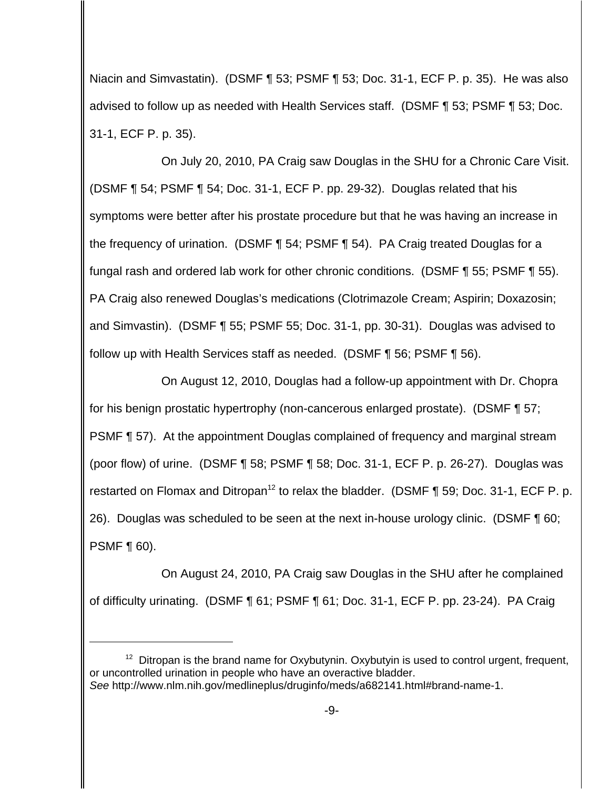Niacin and Simvastatin). (DSMF ¶ 53; PSMF ¶ 53; Doc. 31-1, ECF P. p. 35). He was also advised to follow up as needed with Health Services staff. (DSMF ¶ 53; PSMF ¶ 53; Doc. 31-1, ECF P. p. 35).

On July 20, 2010, PA Craig saw Douglas in the SHU for a Chronic Care Visit. (DSMF ¶ 54; PSMF ¶ 54; Doc. 31-1, ECF P. pp. 29-32). Douglas related that his symptoms were better after his prostate procedure but that he was having an increase in the frequency of urination. (DSMF ¶ 54; PSMF ¶ 54). PA Craig treated Douglas for a fungal rash and ordered lab work for other chronic conditions. (DSMF ¶ 55; PSMF ¶ 55). PA Craig also renewed Douglas's medications (Clotrimazole Cream; Aspirin; Doxazosin; and Simvastin). (DSMF ¶ 55; PSMF 55; Doc. 31-1, pp. 30-31). Douglas was advised to follow up with Health Services staff as needed. (DSMF ¶ 56; PSMF ¶ 56).

On August 12, 2010, Douglas had a follow-up appointment with Dr. Chopra for his benign prostatic hypertrophy (non-cancerous enlarged prostate). (DSMF ¶ 57; PSMF ¶ 57). At the appointment Douglas complained of frequency and marginal stream (poor flow) of urine. (DSMF ¶ 58; PSMF ¶ 58; Doc. 31-1, ECF P. p. 26-27). Douglas was restarted on Flomax and Ditropan<sup>12</sup> to relax the bladder. (DSMF ¶ 59; Doc. 31-1, ECF P. p. 26). Douglas was scheduled to be seen at the next in-house urology clinic. (DSMF ¶ 60; PSMF ¶ 60).

On August 24, 2010, PA Craig saw Douglas in the SHU after he complained of difficulty urinating. (DSMF ¶ 61; PSMF ¶ 61; Doc. 31-1, ECF P. pp. 23-24). PA Craig

<sup>&</sup>lt;sup>12</sup> Ditropan is the brand name for Oxybutynin. Oxybutyin is used to control urgent, frequent, or uncontrolled urination in people who have an overactive bladder. See http://www.nlm.nih.gov/medlineplus/druginfo/meds/a682141.html#brand-name-1.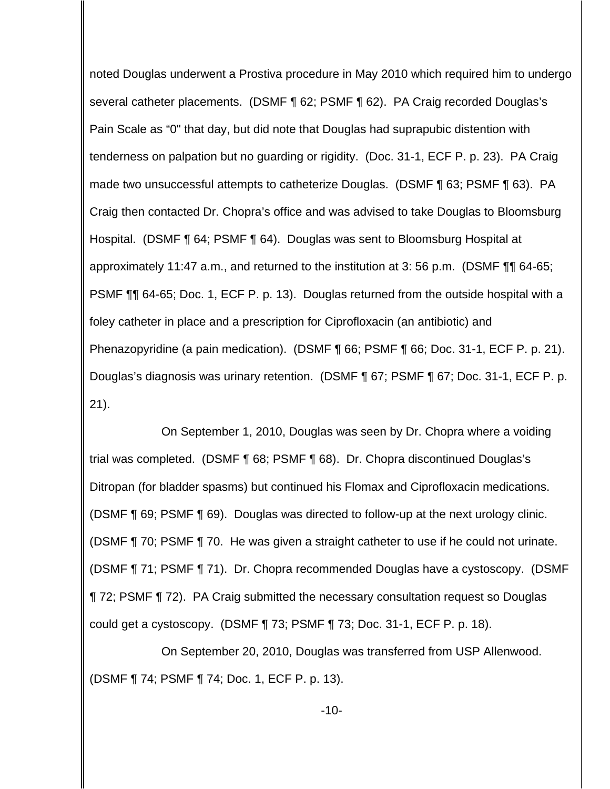noted Douglas underwent a Prostiva procedure in May 2010 which required him to undergo several catheter placements. (DSMF ¶ 62; PSMF ¶ 62). PA Craig recorded Douglas's Pain Scale as "0" that day, but did note that Douglas had suprapubic distention with tenderness on palpation but no guarding or rigidity. (Doc. 31-1, ECF P. p. 23). PA Craig made two unsuccessful attempts to catheterize Douglas. (DSMF ¶ 63; PSMF ¶ 63). PA Craig then contacted Dr. Chopra's office and was advised to take Douglas to Bloomsburg Hospital. (DSMF ¶ 64; PSMF ¶ 64). Douglas was sent to Bloomsburg Hospital at approximately 11:47 a.m., and returned to the institution at 3: 56 p.m. (DSMF ¶¶ 64-65; PSMF ¶¶ 64-65; Doc. 1, ECF P. p. 13). Douglas returned from the outside hospital with a foley catheter in place and a prescription for Ciprofloxacin (an antibiotic) and Phenazopyridine (a pain medication). (DSMF ¶ 66; PSMF ¶ 66; Doc. 31-1, ECF P. p. 21). Douglas's diagnosis was urinary retention. (DSMF ¶ 67; PSMF ¶ 67; Doc. 31-1, ECF P. p. 21).

On September 1, 2010, Douglas was seen by Dr. Chopra where a voiding trial was completed. (DSMF ¶ 68; PSMF ¶ 68). Dr. Chopra discontinued Douglas's Ditropan (for bladder spasms) but continued his Flomax and Ciprofloxacin medications. (DSMF ¶ 69; PSMF ¶ 69). Douglas was directed to follow-up at the next urology clinic. (DSMF ¶ 70; PSMF ¶ 70. He was given a straight catheter to use if he could not urinate. (DSMF ¶ 71; PSMF ¶ 71). Dr. Chopra recommended Douglas have a cystoscopy. (DSMF ¶ 72; PSMF ¶ 72). PA Craig submitted the necessary consultation request so Douglas could get a cystoscopy. (DSMF ¶ 73; PSMF ¶ 73; Doc. 31-1, ECF P. p. 18).

On September 20, 2010, Douglas was transferred from USP Allenwood. (DSMF ¶ 74; PSMF ¶ 74; Doc. 1, ECF P. p. 13).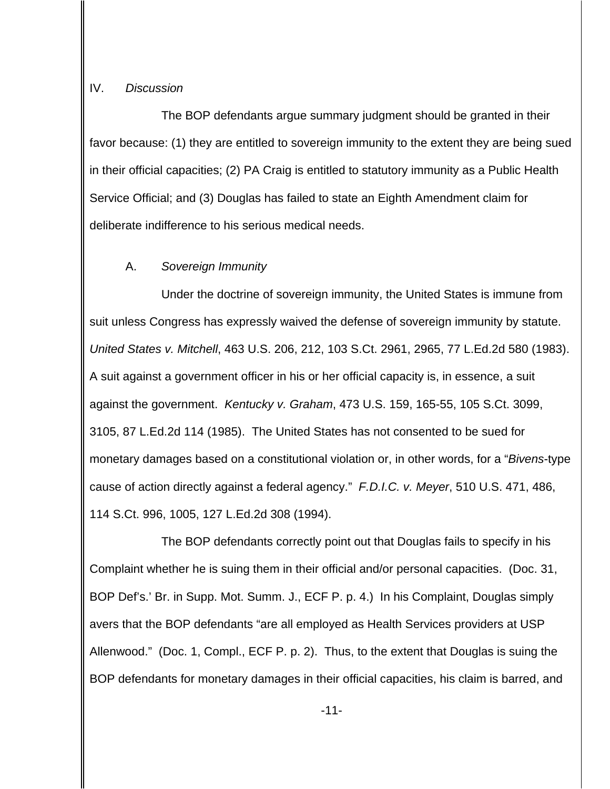#### IV. Discussion

The BOP defendants argue summary judgment should be granted in their favor because: (1) they are entitled to sovereign immunity to the extent they are being sued in their official capacities; (2) PA Craig is entitled to statutory immunity as a Public Health Service Official; and (3) Douglas has failed to state an Eighth Amendment claim for deliberate indifference to his serious medical needs.

### A. Sovereign Immunity

Under the doctrine of sovereign immunity, the United States is immune from suit unless Congress has expressly waived the defense of sovereign immunity by statute. United States v. Mitchell, 463 U.S. 206, 212, 103 S.Ct. 2961, 2965, 77 L.Ed.2d 580 (1983). A suit against a government officer in his or her official capacity is, in essence, a suit against the government. Kentucky v. Graham, 473 U.S. 159, 165-55, 105 S.Ct. 3099, 3105, 87 L.Ed.2d 114 (1985). The United States has not consented to be sued for monetary damages based on a constitutional violation or, in other words, for a "Bivens-type cause of action directly against a federal agency." F.D.I.C. v. Meyer, 510 U.S. 471, 486, 114 S.Ct. 996, 1005, 127 L.Ed.2d 308 (1994).

The BOP defendants correctly point out that Douglas fails to specify in his Complaint whether he is suing them in their official and/or personal capacities. (Doc. 31, BOP Def's.' Br. in Supp. Mot. Summ. J., ECF P. p. 4.) In his Complaint, Douglas simply avers that the BOP defendants "are all employed as Health Services providers at USP Allenwood." (Doc. 1, Compl., ECF P. p. 2). Thus, to the extent that Douglas is suing the BOP defendants for monetary damages in their official capacities, his claim is barred, and

-11-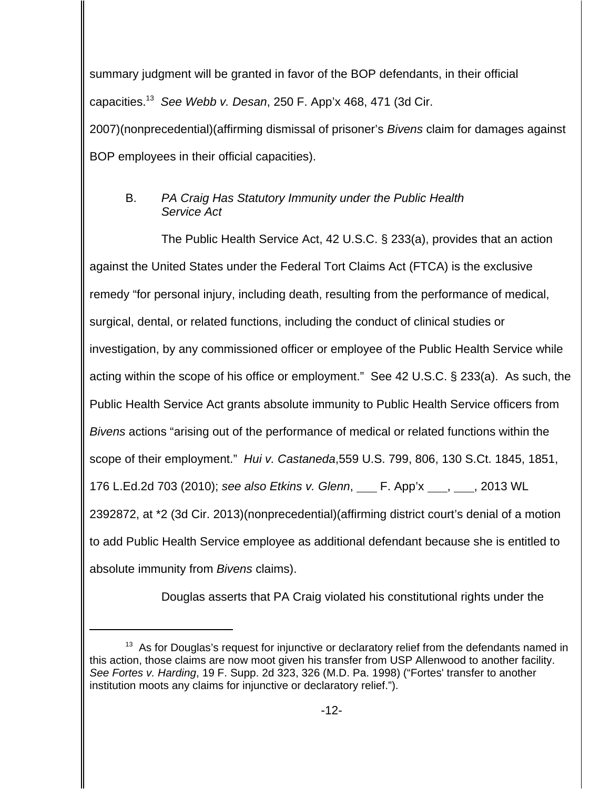summary judgment will be granted in favor of the BOP defendants, in their official capacities.<sup>13</sup> See Webb v. Desan, 250 F. App'x 468, 471 (3d Cir. 2007)(nonprecedential)(affirming dismissal of prisoner's Bivens claim for damages against BOP employees in their official capacities).

# B. PA Craig Has Statutory Immunity under the Public Health Service Act

The Public Health Service Act, 42 U.S.C. § 233(a), provides that an action against the United States under the Federal Tort Claims Act (FTCA) is the exclusive remedy "for personal injury, including death, resulting from the performance of medical, surgical, dental, or related functions, including the conduct of clinical studies or investigation, by any commissioned officer or employee of the Public Health Service while acting within the scope of his office or employment." See 42 U.S.C. § 233(a). As such, the Public Health Service Act grants absolute immunity to Public Health Service officers from Bivens actions "arising out of the performance of medical or related functions within the scope of their employment." Hui v. Castaneda,559 U.S. 799, 806, 130 S.Ct. 1845, 1851, 176 L.Ed.2d 703 (2010); see also Etkins v. Glenn, \_\_\_ F. App'x \_\_\_, \_\_\_, 2013 WL 2392872, at \*2 (3d Cir. 2013)(nonprecedential)(affirming district court's denial of a motion to add Public Health Service employee as additional defendant because she is entitled to absolute immunity from Bivens claims).

Douglas asserts that PA Craig violated his constitutional rights under the

 $13$  As for Douglas's request for injunctive or declaratory relief from the defendants named in this action, those claims are now moot given his transfer from USP Allenwood to another facility. See Fortes v. Harding, 19 F. Supp. 2d 323, 326 (M.D. Pa. 1998) ("Fortes' transfer to another institution moots any claims for injunctive or declaratory relief.").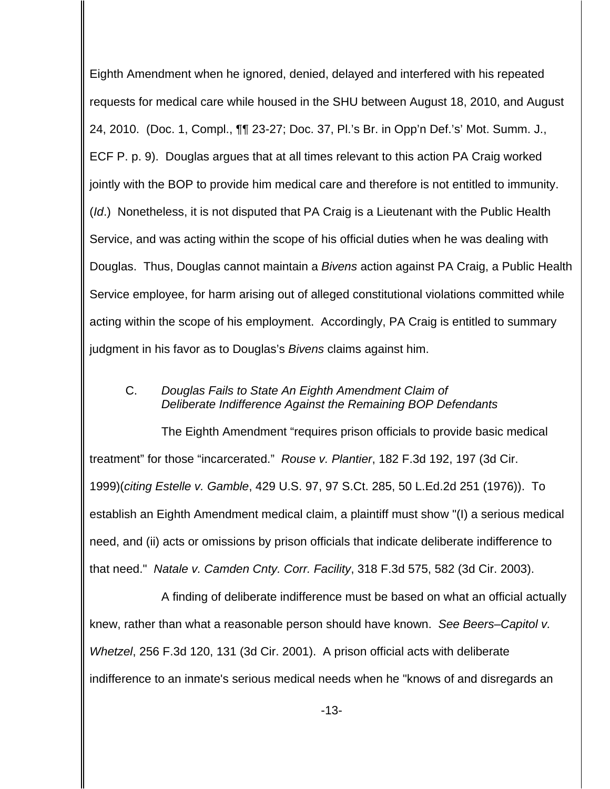Eighth Amendment when he ignored, denied, delayed and interfered with his repeated requests for medical care while housed in the SHU between August 18, 2010, and August 24, 2010. (Doc. 1, Compl., ¶¶ 23-27; Doc. 37, Pl.'s Br. in Opp'n Def.'s' Mot. Summ. J., ECF P. p. 9). Douglas argues that at all times relevant to this action PA Craig worked jointly with the BOP to provide him medical care and therefore is not entitled to immunity. (*Id.*) Nonetheless, it is not disputed that PA Craig is a Lieutenant with the Public Health Service, and was acting within the scope of his official duties when he was dealing with Douglas. Thus, Douglas cannot maintain a Bivens action against PA Craig, a Public Health Service employee, for harm arising out of alleged constitutional violations committed while acting within the scope of his employment. Accordingly, PA Craig is entitled to summary judgment in his favor as to Douglas's Bivens claims against him.

## C. Douglas Fails to State An Eighth Amendment Claim of Deliberate Indifference Against the Remaining BOP Defendants

The Eighth Amendment "requires prison officials to provide basic medical treatment" for those "incarcerated." Rouse v. Plantier, 182 F.3d 192, 197 (3d Cir. 1999)(citing Estelle v. Gamble, 429 U.S. 97, 97 S.Ct. 285, 50 L.Ed.2d 251 (1976)). To establish an Eighth Amendment medical claim, a plaintiff must show "(I) a serious medical need, and (ii) acts or omissions by prison officials that indicate deliberate indifference to that need." Natale v. Camden Cnty. Corr. Facility, 318 F.3d 575, 582 (3d Cir. 2003).

A finding of deliberate indifference must be based on what an official actually knew, rather than what a reasonable person should have known. See Beers-Capitol v. Whetzel, 256 F.3d 120, 131 (3d Cir. 2001). A prison official acts with deliberate indifference to an inmate's serious medical needs when he "knows of and disregards an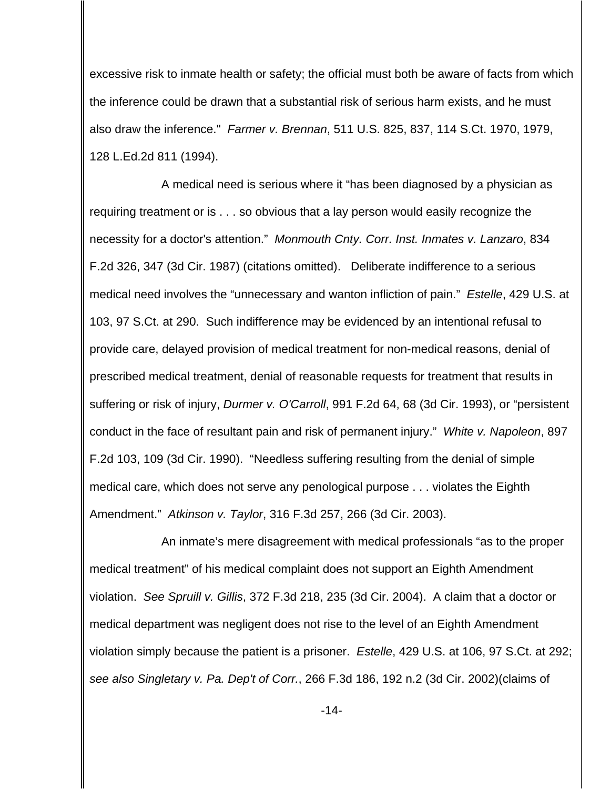excessive risk to inmate health or safety; the official must both be aware of facts from which the inference could be drawn that a substantial risk of serious harm exists, and he must also draw the inference." Farmer v. Brennan, 511 U.S. 825, 837, 114 S.Ct. 1970, 1979, 128 L.Ed.2d 811 (1994).

A medical need is serious where it "has been diagnosed by a physician as requiring treatment or is . . . so obvious that a lay person would easily recognize the necessity for a doctor's attention." Monmouth Cnty. Corr. Inst. Inmates v. Lanzaro, 834 F.2d 326, 347 (3d Cir. 1987) (citations omitted). Deliberate indifference to a serious medical need involves the "unnecessary and wanton infliction of pain." Estelle, 429 U.S. at 103, 97 S.Ct. at 290. Such indifference may be evidenced by an intentional refusal to provide care, delayed provision of medical treatment for non-medical reasons, denial of prescribed medical treatment, denial of reasonable requests for treatment that results in suffering or risk of injury, Durmer v. O'Carroll, 991 F.2d 64, 68 (3d Cir. 1993), or "persistent conduct in the face of resultant pain and risk of permanent injury." White v. Napoleon, 897 F.2d 103, 109 (3d Cir. 1990). "Needless suffering resulting from the denial of simple medical care, which does not serve any penological purpose . . . violates the Eighth Amendment." Atkinson v. Taylor, 316 F.3d 257, 266 (3d Cir. 2003).

An inmate's mere disagreement with medical professionals "as to the proper medical treatment" of his medical complaint does not support an Eighth Amendment violation. See Spruill v. Gillis, 372 F.3d 218, 235 (3d Cir. 2004). A claim that a doctor or medical department was negligent does not rise to the level of an Eighth Amendment violation simply because the patient is a prisoner. Estelle, 429 U.S. at 106, 97 S.Ct. at 292; see also Singletary v. Pa. Dep't of Corr., 266 F.3d 186, 192 n.2 (3d Cir. 2002)(claims of

-14-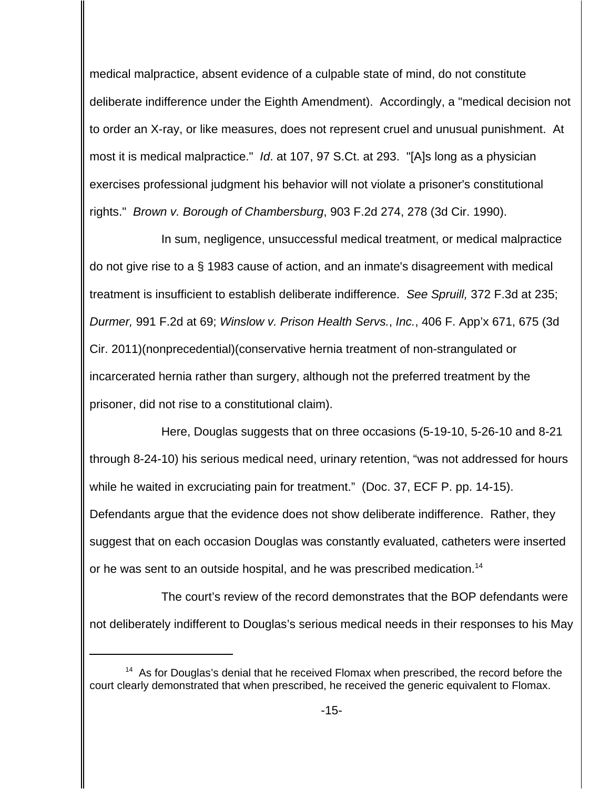medical malpractice, absent evidence of a culpable state of mind, do not constitute deliberate indifference under the Eighth Amendment). Accordingly, a "medical decision not to order an X-ray, or like measures, does not represent cruel and unusual punishment. At most it is medical malpractice." Id. at 107, 97 S.Ct. at 293. "[A]s long as a physician exercises professional judgment his behavior will not violate a prisoner's constitutional rights." Brown v. Borough of Chambersburg, 903 F.2d 274, 278 (3d Cir. 1990).

In sum, negligence, unsuccessful medical treatment, or medical malpractice do not give rise to a § 1983 cause of action, and an inmate's disagreement with medical treatment is insufficient to establish deliberate indifference. See Spruill, 372 F.3d at 235; Durmer, 991 F.2d at 69; Winslow v. Prison Health Servs., Inc., 406 F. App'x 671, 675 (3d Cir. 2011)(nonprecedential)(conservative hernia treatment of non-strangulated or incarcerated hernia rather than surgery, although not the preferred treatment by the prisoner, did not rise to a constitutional claim).

Here, Douglas suggests that on three occasions (5-19-10, 5-26-10 and 8-21 through 8-24-10) his serious medical need, urinary retention, "was not addressed for hours while he waited in excruciating pain for treatment." (Doc. 37, ECF P. pp. 14-15). Defendants argue that the evidence does not show deliberate indifference. Rather, they suggest that on each occasion Douglas was constantly evaluated, catheters were inserted or he was sent to an outside hospital, and he was prescribed medication.<sup>14</sup>

The court's review of the record demonstrates that the BOP defendants were not deliberately indifferent to Douglas's serious medical needs in their responses to his May

<sup>&</sup>lt;sup>14</sup> As for Douglas's denial that he received Flomax when prescribed, the record before the court clearly demonstrated that when prescribed, he received the generic equivalent to Flomax.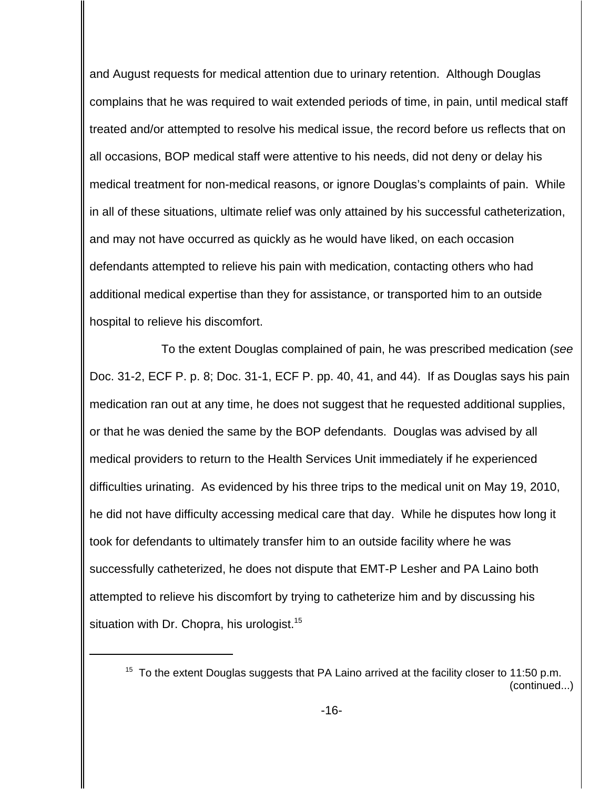and August requests for medical attention due to urinary retention. Although Douglas complains that he was required to wait extended periods of time, in pain, until medical staff treated and/or attempted to resolve his medical issue, the record before us reflects that on all occasions, BOP medical staff were attentive to his needs, did not deny or delay his medical treatment for non-medical reasons, or ignore Douglas's complaints of pain. While in all of these situations, ultimate relief was only attained by his successful catheterization, and may not have occurred as quickly as he would have liked, on each occasion defendants attempted to relieve his pain with medication, contacting others who had additional medical expertise than they for assistance, or transported him to an outside hospital to relieve his discomfort.

To the extent Douglas complained of pain, he was prescribed medication (see Doc. 31-2, ECF P. p. 8; Doc. 31-1, ECF P. pp. 40, 41, and 44). If as Douglas says his pain medication ran out at any time, he does not suggest that he requested additional supplies, or that he was denied the same by the BOP defendants. Douglas was advised by all medical providers to return to the Health Services Unit immediately if he experienced difficulties urinating. As evidenced by his three trips to the medical unit on May 19, 2010, he did not have difficulty accessing medical care that day. While he disputes how long it took for defendants to ultimately transfer him to an outside facility where he was successfully catheterized, he does not dispute that EMT-P Lesher and PA Laino both attempted to relieve his discomfort by trying to catheterize him and by discussing his situation with Dr. Chopra, his urologist.<sup>15</sup>

 $15$  To the extent Douglas suggests that PA Laino arrived at the facility closer to 11:50 p.m. (continued...)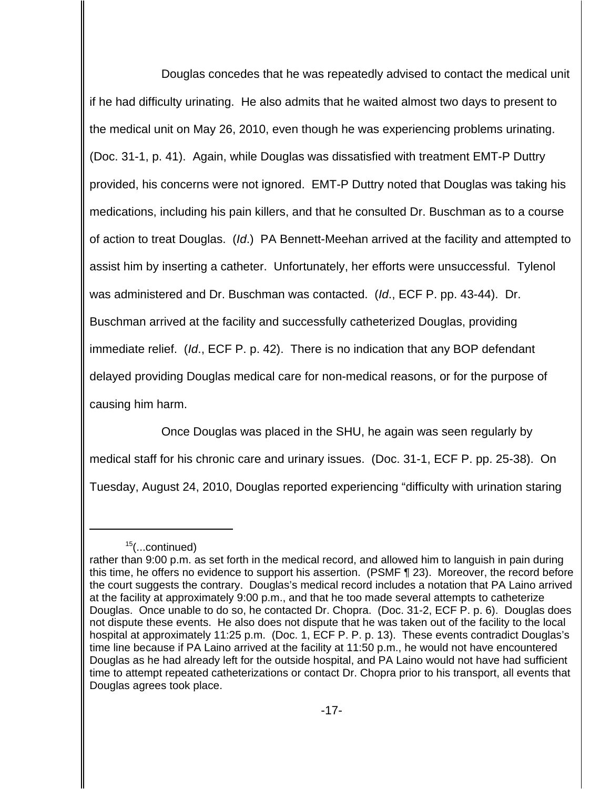Douglas concedes that he was repeatedly advised to contact the medical unit if he had difficulty urinating. He also admits that he waited almost two days to present to the medical unit on May 26, 2010, even though he was experiencing problems urinating. (Doc. 31-1, p. 41). Again, while Douglas was dissatisfied with treatment EMT-P Duttry provided, his concerns were not ignored. EMT-P Duttry noted that Douglas was taking his medications, including his pain killers, and that he consulted Dr. Buschman as to a course of action to treat Douglas. (Id.) PA Bennett-Meehan arrived at the facility and attempted to assist him by inserting a catheter. Unfortunately, her efforts were unsuccessful. Tylenol was administered and Dr. Buschman was contacted. (Id., ECF P. pp. 43-44). Dr. Buschman arrived at the facility and successfully catheterized Douglas, providing immediate relief. (Id., ECF P. p. 42). There is no indication that any BOP defendant delayed providing Douglas medical care for non-medical reasons, or for the purpose of causing him harm.

 Once Douglas was placed in the SHU, he again was seen regularly by medical staff for his chronic care and urinary issues. (Doc. 31-1, ECF P. pp. 25-38). On Tuesday, August 24, 2010, Douglas reported experiencing "difficulty with urination staring

 $15$ (...continued)

rather than 9:00 p.m. as set forth in the medical record, and allowed him to languish in pain during this time, he offers no evidence to support his assertion. (PSMF ¶ 23). Moreover, the record before the court suggests the contrary. Douglas's medical record includes a notation that PA Laino arrived at the facility at approximately 9:00 p.m., and that he too made several attempts to catheterize Douglas. Once unable to do so, he contacted Dr. Chopra. (Doc. 31-2, ECF P. p. 6). Douglas does not dispute these events. He also does not dispute that he was taken out of the facility to the local hospital at approximately 11:25 p.m. (Doc. 1, ECF P. P. p. 13). These events contradict Douglas's time line because if PA Laino arrived at the facility at 11:50 p.m., he would not have encountered Douglas as he had already left for the outside hospital, and PA Laino would not have had sufficient time to attempt repeated catheterizations or contact Dr. Chopra prior to his transport, all events that Douglas agrees took place.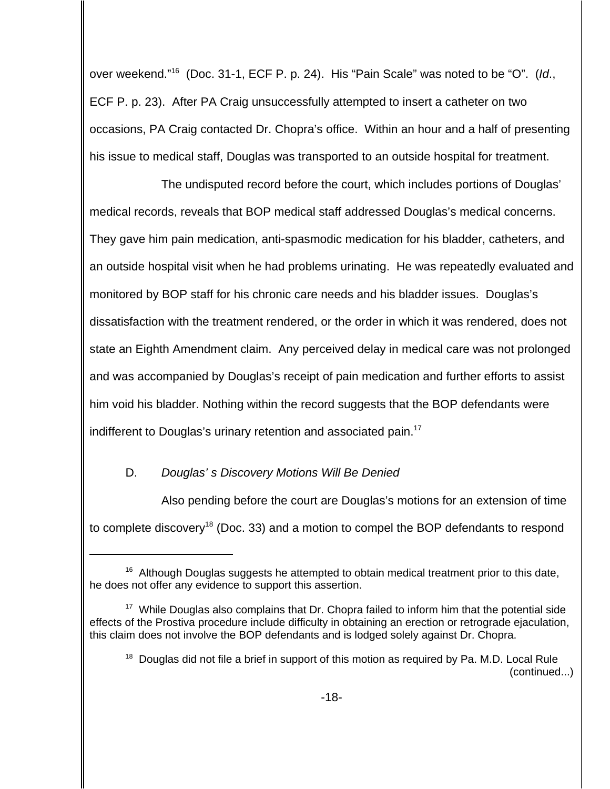over weekend."<sup>16</sup> (Doc. 31-1, ECF P. p. 24). His "Pain Scale" was noted to be "O". (Id., ECF P. p. 23). After PA Craig unsuccessfully attempted to insert a catheter on two occasions, PA Craig contacted Dr. Chopra's office. Within an hour and a half of presenting his issue to medical staff, Douglas was transported to an outside hospital for treatment.

The undisputed record before the court, which includes portions of Douglas' medical records, reveals that BOP medical staff addressed Douglas's medical concerns. They gave him pain medication, anti-spasmodic medication for his bladder, catheters, and an outside hospital visit when he had problems urinating. He was repeatedly evaluated and monitored by BOP staff for his chronic care needs and his bladder issues. Douglas's dissatisfaction with the treatment rendered, or the order in which it was rendered, does not state an Eighth Amendment claim. Any perceived delay in medical care was not prolonged and was accompanied by Douglas's receipt of pain medication and further efforts to assist him void his bladder. Nothing within the record suggests that the BOP defendants were indifferent to Douglas's urinary retention and associated pain.<sup>17</sup>

# D. Douglas's Discovery Motions Will Be Denied

Also pending before the court are Douglas's motions for an extension of time to complete discovery<sup>18</sup> (Doc. 33) and a motion to compel the BOP defendants to respond

 $16$  Although Douglas suggests he attempted to obtain medical treatment prior to this date, he does not offer any evidence to support this assertion.

 $17$  While Douglas also complains that Dr. Chopra failed to inform him that the potential side effects of the Prostiva procedure include difficulty in obtaining an erection or retrograde ejaculation, this claim does not involve the BOP defendants and is lodged solely against Dr. Chopra.

 $18$  Douglas did not file a brief in support of this motion as required by Pa. M.D. Local Rule (continued...)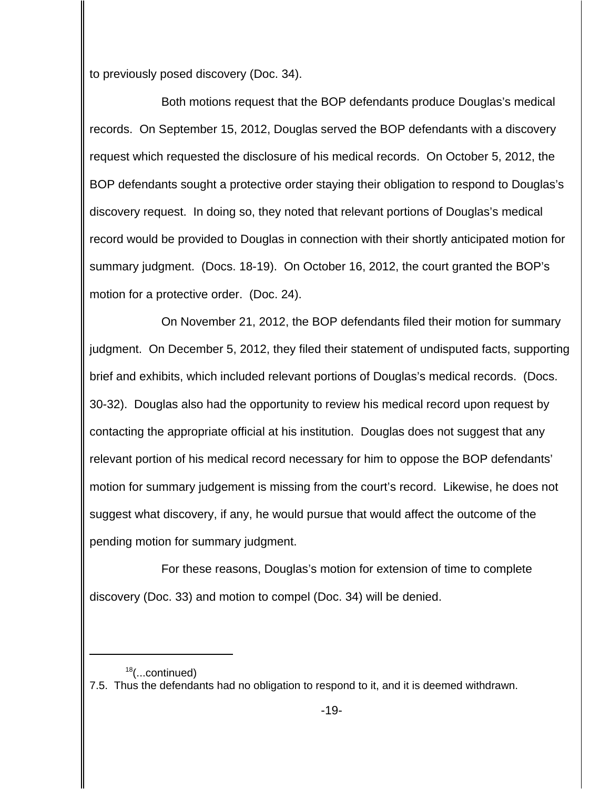to previously posed discovery (Doc. 34).

Both motions request that the BOP defendants produce Douglas's medical records. On September 15, 2012, Douglas served the BOP defendants with a discovery request which requested the disclosure of his medical records. On October 5, 2012, the BOP defendants sought a protective order staying their obligation to respond to Douglas's discovery request. In doing so, they noted that relevant portions of Douglas's medical record would be provided to Douglas in connection with their shortly anticipated motion for summary judgment. (Docs. 18-19). On October 16, 2012, the court granted the BOP's motion for a protective order. (Doc. 24).

On November 21, 2012, the BOP defendants filed their motion for summary judgment. On December 5, 2012, they filed their statement of undisputed facts, supporting brief and exhibits, which included relevant portions of Douglas's medical records. (Docs. 30-32). Douglas also had the opportunity to review his medical record upon request by contacting the appropriate official at his institution. Douglas does not suggest that any relevant portion of his medical record necessary for him to oppose the BOP defendants' motion for summary judgement is missing from the court's record. Likewise, he does not suggest what discovery, if any, he would pursue that would affect the outcome of the pending motion for summary judgment.

For these reasons, Douglas's motion for extension of time to complete discovery (Doc. 33) and motion to compel (Doc. 34) will be denied.

 $18$ (...continued)

<sup>7.5.</sup> Thus the defendants had no obligation to respond to it, and it is deemed withdrawn.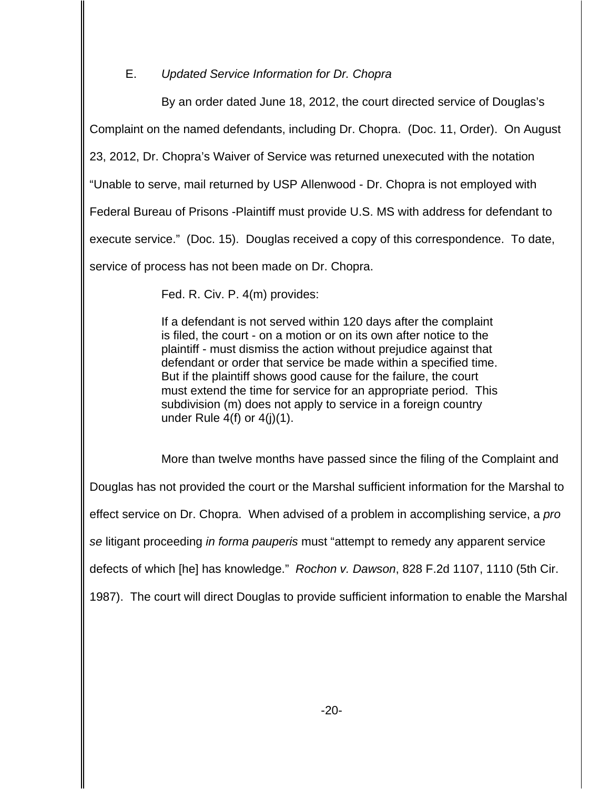# E. Updated Service Information for Dr. Chopra

By an order dated June 18, 2012, the court directed service of Douglas's Complaint on the named defendants, including Dr. Chopra. (Doc. 11, Order). On August 23, 2012, Dr. Chopra's Waiver of Service was returned unexecuted with the notation "Unable to serve, mail returned by USP Allenwood - Dr. Chopra is not employed with Federal Bureau of Prisons -Plaintiff must provide U.S. MS with address for defendant to execute service." (Doc. 15). Douglas received a copy of this correspondence. To date, service of process has not been made on Dr. Chopra.

Fed. R. Civ. P. 4(m) provides:

If a defendant is not served within 120 days after the complaint is filed, the court - on a motion or on its own after notice to the plaintiff - must dismiss the action without prejudice against that defendant or order that service be made within a specified time. But if the plaintiff shows good cause for the failure, the court must extend the time for service for an appropriate period. This subdivision (m) does not apply to service in a foreign country under Rule  $4(f)$  or  $4(j)(1)$ .

More than twelve months have passed since the filing of the Complaint and Douglas has not provided the court or the Marshal sufficient information for the Marshal to effect service on Dr. Chopra. When advised of a problem in accomplishing service, a pro se litigant proceeding in forma pauperis must "attempt to remedy any apparent service defects of which [he] has knowledge." Rochon v. Dawson, 828 F.2d 1107, 1110 (5th Cir. 1987). The court will direct Douglas to provide sufficient information to enable the Marshal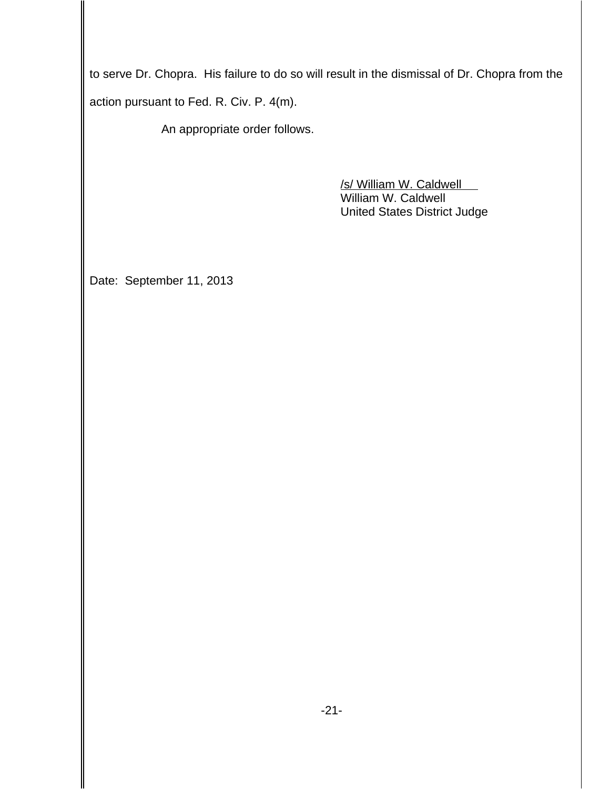to serve Dr. Chopra. His failure to do so will result in the dismissal of Dr. Chopra from the action pursuant to Fed. R. Civ. P. 4(m).

An appropriate order follows.

/s/ William W. Caldwell William W. Caldwell United States District Judge

Date: September 11, 2013